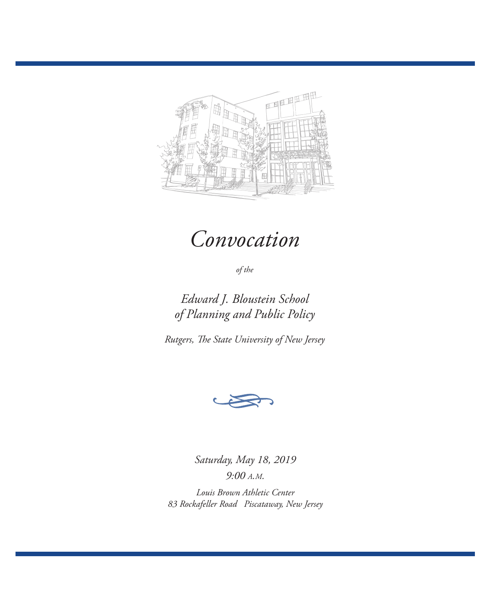

# *Convocation*

*of the*

*Edward J. Bloustein School of Planning and Public Policy*

*Rutgers, The State University of New Jersey*



*Saturday, May 18, 2019 9:00 a.m.*

*Louis Brown Athletic Center 83 Rockafeller Road Piscataway, New Jersey*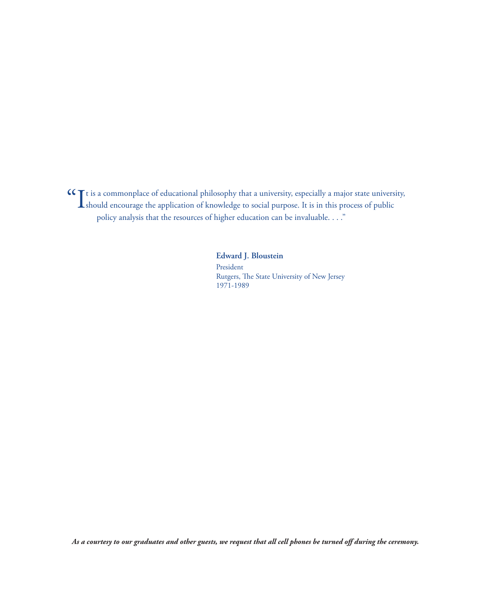It is a commonplace of educational philosophy that a university, especially a major state university, should encourage the application of knowledge to social purpose. It is in this process of public policy analysis that the resources of higher education can be invaluable. . . ."

> **Edward J. Bloustein** President Rutgers, The State University of New Jersey 1971-1989

*As a courtesy to our graduates and other guests, we request that all cell phones be turned off during the ceremony.*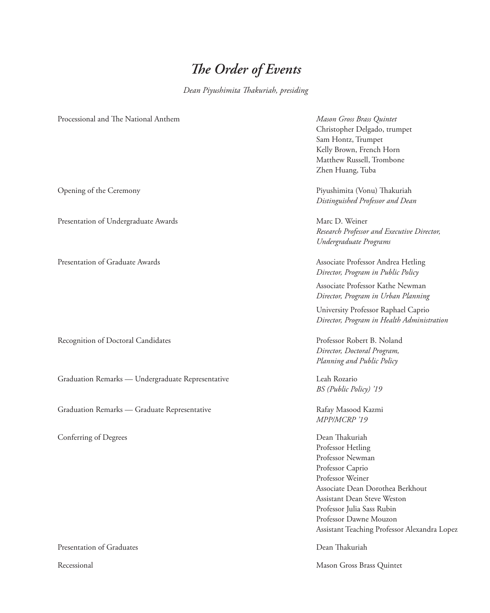## *The Order of Events*

*Dean Piyushimita Thakuriah, presiding*

| Processional and The National Anthem              | Mason Gross Brass Quintet<br>Christopher Delgado, trumpet<br>Sam Hontz, Trumpet<br>Kelly Brown, French Horn<br>Matthew Russell, Trombone<br>Zhen Huang, Tuba                                                                                                               |
|---------------------------------------------------|----------------------------------------------------------------------------------------------------------------------------------------------------------------------------------------------------------------------------------------------------------------------------|
| Opening of the Ceremony                           | Piyushimita (Vonu) Thakuriah<br>Distinguished Professor and Dean                                                                                                                                                                                                           |
| Presentation of Undergraduate Awards              | Marc D. Weiner<br>Research Professor and Executive Director,<br>Undergraduate Programs                                                                                                                                                                                     |
| Presentation of Graduate Awards                   | Associate Professor Andrea Hetling<br>Director, Program in Public Policy                                                                                                                                                                                                   |
|                                                   | Associate Professor Kathe Newman<br>Director, Program in Urban Planning                                                                                                                                                                                                    |
|                                                   | University Professor Raphael Caprio<br>Director, Program in Health Administration                                                                                                                                                                                          |
| Recognition of Doctoral Candidates                | Professor Robert B. Noland<br>Director, Doctoral Program,<br>Planning and Public Policy                                                                                                                                                                                    |
| Graduation Remarks - Undergraduate Representative | Leah Rozario<br>BS (Public Policy) '19                                                                                                                                                                                                                                     |
| Graduation Remarks - Graduate Representative      | Rafay Masood Kazmi<br>MPP/MCRP '19                                                                                                                                                                                                                                         |
| Conferring of Degrees                             | Dean Thakuriah<br>Professor Hetling<br>Professor Newman<br>Professor Caprio<br>Professor Weiner<br>Associate Dean Dorothea Berkhout<br>Assistant Dean Steve Weston<br>Professor Julia Sass Rubin<br>Professor Dawne Mouzon<br>Assistant Teaching Professor Alexandra Lopez |
| Presentation of Graduates                         | Dean Thakuriah                                                                                                                                                                                                                                                             |

Recessional Mason Gross Brass Quintet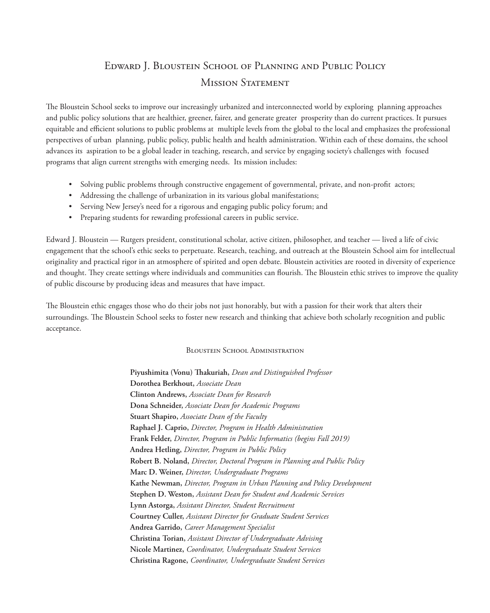## Edward J. Bloustein School of Planning and Public Policy MISSION STATEMENT

The Bloustein School seeks to improve our increasingly urbanized and interconnected world by exploring planning approaches and public policy solutions that are healthier, greener, fairer, and generate greater prosperity than do current practices. It pursues equitable and efficient solutions to public problems at multiple levels from the global to the local and emphasizes the professional perspectives of urban planning, public policy, public health and health administration. Within each of these domains, the school advances its aspiration to be a global leader in teaching, research, and service by engaging society's challenges with focused programs that align current strengths with emerging needs. Its mission includes:

- Solving public problems through constructive engagement of governmental, private, and non-profit actors;
- Addressing the challenge of urbanization in its various global manifestations;
- Serving New Jersey's need for a rigorous and engaging public policy forum; and
- Preparing students for rewarding professional careers in public service.

Edward J. Bloustein — Rutgers president, constitutional scholar, active citizen, philosopher, and teacher — lived a life of civic engagement that the school's ethic seeks to perpetuate. Research, teaching, and outreach at the Bloustein School aim for intellectual originality and practical rigor in an atmosphere of spirited and open debate. Bloustein activities are rooted in diversity of experience and thought. They create settings where individuals and communities can flourish. The Bloustein ethic strives to improve the quality of public discourse by producing ideas and measures that have impact.

The Bloustein ethic engages those who do their jobs not just honorably, but with a passion for their work that alters their surroundings. The Bloustein School seeks to foster new research and thinking that achieve both scholarly recognition and public acceptance.

## BLOUSTEIN SCHOOL ADMINISTRATION

**Piyushimita (Vonu) Thakuriah,** *Dean and Distinguished Professor* **Dorothea Berkhout,** *Associate Dean* **Clinton Andrews,** *Associate Dean for Research* **Dona Schneider,** *Associate Dean for Academic Programs* **Stuart Shapiro,** *Associate Dean of the Faculty* **Raphael J. Caprio,** *Director, Program in Health Administration*  **Frank Felder,** *Director, Program in Public Informatics (begins Fall 2019)* **Andrea Hetling,** *Director, Program in Public Policy* **Robert B. Noland,** *Director, Doctoral Program in Planning and Public Policy* **Marc D. Weiner,** *Director, Undergraduate Programs* **Kathe Newman,** *Director, Program in Urban Planning and Policy Development* **Stephen D. Weston,** *Assistant Dean for Student and Academic Services* **Lynn Astorga,** *Assistant Director, Student Recruitment* **Courtney Culler,** *Assistant Director for Graduate Student Services* **Andrea Garrido,** *Career Management Specialist* **Christina Torian,** *Assistant Director of Undergraduate Advising* **Nicole Martinez,** *Coordinator, Undergraduate Student Services* **Christina Ragone,** *Coordinator, Undergraduate Student Services*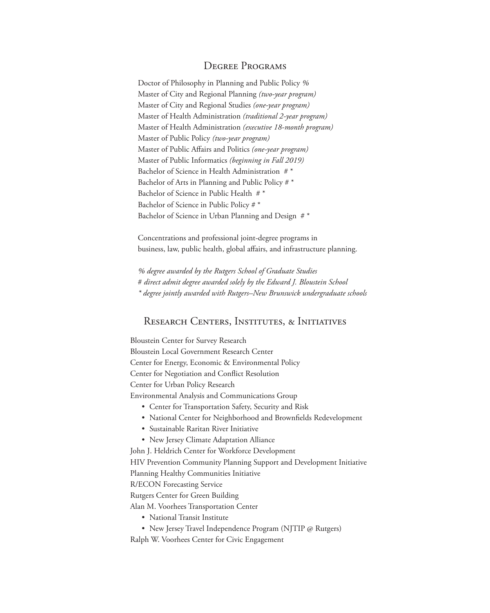## Degree Programs

Doctor of Philosophy in Planning and Public Policy *%* Master of City and Regional Planning *(two-year program)* Master of City and Regional Studies *(one-year program)* Master of Health Administration *(traditional 2-year program)* Master of Health Administration *(executive 18-month program)* Master of Public Policy *(two-year program)*  Master of Public Affairs and Politics *(one-year program)* Master of Public Informatics *(beginning in Fall 2019)* Bachelor of Science in Health Administration #\* Bachelor of Arts in Planning and Public Policy # \* Bachelor of Science in Public Health # \* Bachelor of Science in Public Policy # \* Bachelor of Science in Urban Planning and Design #\*

Concentrations and professional joint-degree programs in business, law, public health, global affairs, and infrastructure planning.

*% degree awarded by the Rutgers School of Graduate Studies* # *direct admit degree awarded solely by the Edward J. Bloustein School \* degree jointly awarded with Rutgers–New Brunswick undergraduate schools*

## Research Centers, Institutes, & Initiatives

Bloustein Center for Survey Research Bloustein Local Government Research Center Center for Energy, Economic & Environmental Policy Center for Negotiation and Conflict Resolution Center for Urban Policy Research Environmental Analysis and Communications Group

- Center for Transportation Safety, Security and Risk
- National Center for Neighborhood and Brownfields Redevelopment
- Sustainable Raritan River Initiative
- New Jersey Climate Adaptation Alliance

John J. Heldrich Center for Workforce Development HIV Prevention Community Planning Support and Development Initiative Planning Healthy Communities Initiative R/ECON Forecasting Service

Rutgers Center for Green Building

Alan M. Voorhees Transportation Center

- National Transit Institute
- New Jersey Travel Independence Program (NJTIP @ Rutgers)

Ralph W. Voorhees Center for Civic Engagement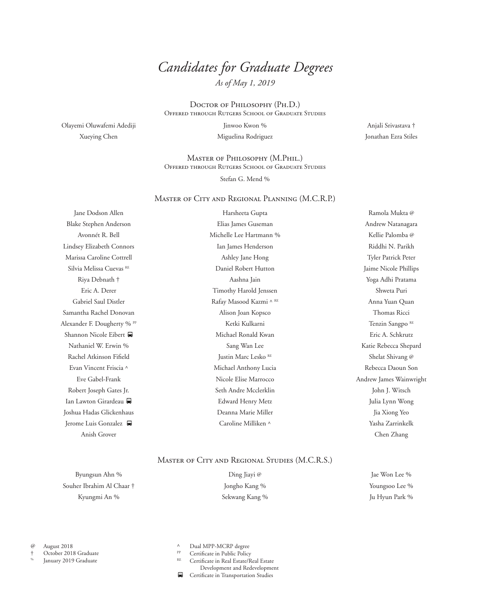## *Candidates for Graduate Degrees*

*As of May 1, 2019*

Doctor of Philosophy (Ph.D.) Offered through Rutgers School of Graduate Studies

Olayemi Oluwafemi Adediji Xueying Chen

Jinwoo Kwon % Miguelina Rodriguez

Master of Philosophy (M.Phil.) Offered through Rutgers School of Graduate Studies

Stefan G. Mend %

#### Master of City and Regional Planning (M.C.R.P.)

Jane Dodson Allen Blake Stephen Anderson Avonnét R. Bell Lindsey Elizabeth Connors Marissa Caroline Cottrell Silvia Melissa Cuevas<sup>RE</sup> Riya Debnath † Eric A. Derer Gabriel Saul Distler Samantha Rachel Donovan Alexander F. Dougherty % PP Shannon Nicole Eibert Nathaniel W. Erwin % Rachel Atkinson Fifield Evan Vincent Friscia ^ Eve Gabel-Frank Robert Joseph Gates Jr. Ian Lawton Girardeau Joshua Hadas Glickenhaus Jerome Luis Gonzalez Anish Grover

Harsheeta Gupta Elias James Guseman Michelle Lee Hartmann % Ian James Henderson Ashley Jane Hong Daniel Robert Hutton Aashna Jain Timothy Harold Jenssen Rafay Masood Kazmi ^ RE Alison Joan Kopsco Ketki Kulkarni Michael Ronald Kwan Sang Wan Lee Justin Marc Lesko RE Michael Anthony Lucia Nicole Elise Marrocco Seth Andre Mcclerklin Edward Henry Metz Deanna Marie Miller Caroline Milliken ^

Anjali Srivastava † Jonathan Ezra Stiles

Ramola Mukta @ Andrew Natanagara Kellie Palomba @ Riddhi N. Parikh Tyler Patrick Peter Jaime Nicole Phillips Yoga Adhi Pratama Shweta Puri Anna Yuan Quan Thomas Ricci Tenzin Sangpo<sup>RE</sup> Eric A. Schkrutz Katie Rebecca Shepard Shelat Shivang @ Rebecca Daoun Son Andrew James Wainwright John J. Witsch Julia Lynn Wong Jia Xiong Yeo Yasha Zarrinkelk Chen Zhang

#### Master of City and Regional Studies (M.C.R.S.)

Byungsun Ahn % Souher Ibrahim Al Chaar † Kyungmi An %

Ding Jiayi @ Jongho Kang % Sekwang Kang %

Jae Won Lee % Youngsoo Lee % Ju Hyun Park %

@ August 2018

† October 2018 Graduate

January 2019 Graduate

- Dual MPP-MCRP degree
- $P_{\text{RE}}$  Certificate in Public Policy

Certificate in Real Estate/Real Estate

Development and Redevelopment

8 Certificate in Transportation Studies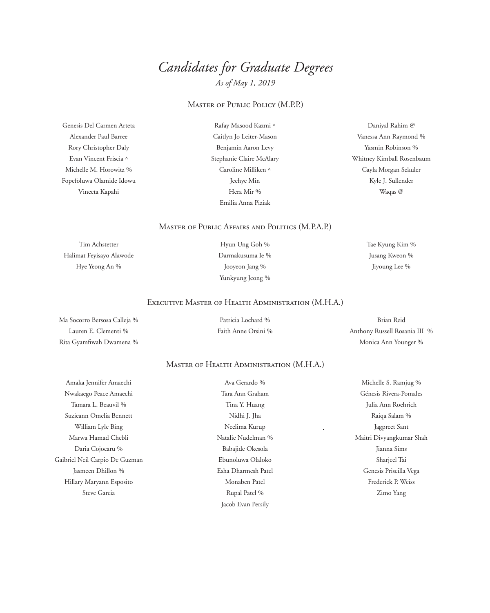# *Candidates for Graduate Degrees*

*As of May 1, 2019*

## Master of Public Policy (M.P.P.)

Genesis Del Carmen Arteta Alexander Paul Barree Rory Christopher Daly Evan Vincent Friscia ^ Michelle M. Horowitz % Fopefoluwa Olamide Idowu Vineeta Kapahi

Rafay Masood Kazmi ^ Caitlyn Jo Leiter-Mason Benjamin Aaron Levy Stephanie Claire McAlary Caroline Milliken ^ Jeehye Min Hera Mir % Emilia Anna Piziak

Daniyal Rahim @ Vanessa Ann Raymond % Yasmin Robinson % Whitney Kimball Rosenbaum Cayla Morgan Sekuler Kyle J. Sullender Waqas @

#### Master of Public Affairs and Politics (M.P.A.P.)

Tim Achstetter Halimat Feyisayo Alawode Hye Yeong An %

Hyun Ung Goh % Darmakusuma Ie % Jooyeon Jang % Yunkyung Jeong % Tae Kyung Kim % Jusang Kweon % Jiyoung Lee %

#### Executive Master of Health Administration (M.H.A.)

Ma Socorro Bersosa Calleja % Lauren E. Clementi % Rita Gyamfiwah Dwamena %

Patricia Lochard % Faith Anne Orsini %

Brian Reid Anthony Russell Rosania III % Monica Ann Younger %

## Master of Health Administration (M.H.A.)

Amaka Jennifer Amaechi Nwakaego Peace Amaechi Tamara L. Beauvil % Suzieann Omelia Bennett William Lyle Bing Marwa Hamad Chebli Daria Cojocaru % Gaibriel Neil Carpio De Guzman Jasmeen Dhillon % Hillary Maryann Esposito Steve Garcia

Ava Gerardo % Tara Ann Graham Tina Y. Huang Nidhi J. Jha Neelima Kurup Natalie Nudelman % Babajide Okesola Ebunoluwa Olaloko Esha Dharmesh Patel Monaben Patel Rupal Patel % Jacob Evan Persily

Michelle S. Ramjug % Génesis Rivera-Pomales Julia Ann Roehrich Raiqa Salam % Jagpreet Sant Maitri Divyangkumar Shah Jianna Sims Sharjeel Tai Genesis Priscilla Vega Frederick P. Weiss Zimo Yang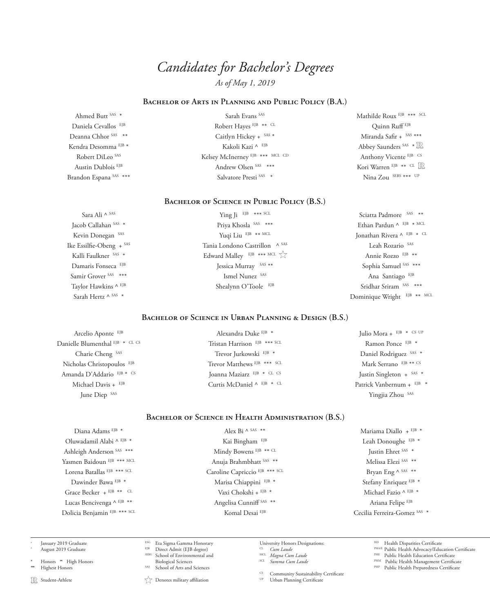### **Bachelor of Arts in Planning and Public Policy (B.A.)**

Ahmed Butt SAS \* Daniela Cevallos EJB Deanna Chhor SAS \*\* Kendra Desomma<sup>EJB \*</sup> Robert DiLeo SAS Austin Dublois EJB Brandon Espana SAS \*\*\*

Sarah Evans SAS Robert Hayes EJB \*\* CL Caitlyn Hickey + SAS \* Kakoli Kazi $\wedge$  EJB Kelsey McInerney EJB \*\*\* MCL CD Andrew Olsen SAS \*\*\* Salvatore Presti SAS \*

Mathilde Roux EJB \*\*\* SCL Quinn Ruff EJB Miranda Safir + SAS \*\*\* Abbey Saunders SAS \* IR Anthony Vicente EJB CS Kori Warren EJB \*\* CL Nina Zou SEBS \*\*\* UP

#### **Bachelor of Science in Public Policy (B.S.)**

Sara Ali ^ SAS Jacob Callahan SAS \* Kevin Donegan SAS Ike Essilfie-Obeng + SAS Kalli Faulkner SAS \* Damaris Fonseca EJB Samir Grover SAS \*\*\* Taylor Hawkins ^ EJB Sarah Hertz ^ SAS \*

Ying Ji EJB \*\*\* SCL Priya Khosla SAS \*\*\* Yuqi Liu EJB \*\* MCL Tania Londono Castrillon ^ SAS Edward Malley EJB \*\*\* MCL  $\sqrt{\sqrt{ }}$ Jessica Murray SAS \*\* Ismel Nunez SAS Shealynn O'Toole EJB

Sciatta Padmore SAS \*\* Ethan Pardun ^ EJB \* MCL Jonathan Rivera ^ EJB \* CL Leah Rozario SAS Annie Rozzo EJB \*\* Sophia Samuel SAS \*\*\* Ana Santiago EJB Sridhar Sriram SAS \*\*\* Dominique Wright EJB \*\* MCL

## **Bachelor of Science in Urban Planning & Design (B.S.)**

Arcelio Aponte EJB Danielle Blumenthal EJB \* CL CS Charie Cheng SAS Nicholas Christopoulos EJB Amanda D'Addario EJB \* CS Michael Davis + EJB June Diep SAS

Alexandra Duke EJB \* Tristan Harrison EJB \*\*\* SCI Trevor Jurkowski<sup>EJB \*</sup> Trevor Matthews EJB \*\*\* SCL Joanna Maziarz EJB \* CL CS Curtis McDaniel ^ EJB \* CL

Julio Mora +  $EJB * CS UP$ Ramon Ponce EJB \* Daniel Rodriguez SAS \* Mark Serrano EJB \*\* CS Justin Singleton + SAS \* Patrick Vanbernum + EJB \* Yingjia Zhou SAS

#### **Bachelor of Science in Health Administration (B.S.)**

Diana Adams EJB \* Oluwadamil Alabi ^ EJB \* Ashleigh Anderson SAS \*\*\* Yasmen Baidoun EJB \*\*\* MCL Lorena Batallas EJB \*\*\* SCL Dawinder Bawa<sup>EJB \*</sup> Grace Becker + EJB \*\* CL Lucas Bencivenga ^ EJB \*\* Dolicia Benjamin EJB \*\*\* SCL

Alex Bi  $\wedge$  SAS \*\* Kai Bingham EJB Mindy Bowens EJB \*\* CL Anuja Brahmbhatt SAS \*\* Caroline Capriccio EJB \*\*\* SCL Marisa Chiappini EJB \* Vaxi Chokshi + EJB \* Angelisa Cunniff SAS \*\* Komal Desai EJB

Mariama Diallo + EJB \* Leah Donoughe EJB \* Justin Ehret SAS \* Melissa Elezi SAS \*\* Bryan Eng ^ SAS \*\* Stefany Enriquez EJB \* Michael Fazio ^ EJB \* Ariana Felipe EJB Cecilia Ferreira-Gomez SAS \*

January 2019 Graduate August 2019 Graduate

\* Honors \*\* High Honors Highest Honors

R Student-Athlete

Direct Admit (EJB degree) SEBS School of Environmental and

Biological Sciences

ESG Eta Sigma Gamma Honorary

School of Arts and Sciences

 $\overrightarrow{a}$  Denotes military affiliation

University Honors Designations:<br> $\frac{cL}{cL}$  *Cum Laude* CL *Cum Laude* MCL *Magna Cum Laude* SCL *Summa Cum Laude*

 $\frac{CS}{UP}$  Community Sustainability Certificate

Urban Planning Certificate

HD Health Disparities Certificate<br>PHA/E Public Health Advocacy/Education Certificate

PHE Public Health Education Certificate PHM Public Health Management Certificate

PHP Public Health Preparedness Certificate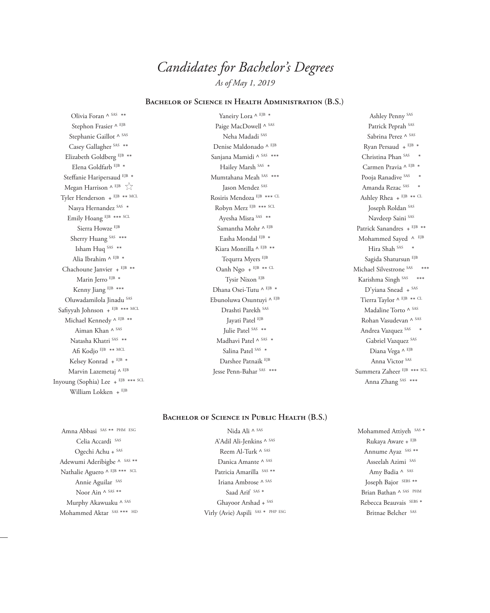## **Bachelor of Science in Health Administration (B.S.)**

Olivia Foran ^ SAS \*\* Stephon Frasier ^ EJB Stephanie Gaillot ^ SAS Casey Gallagher<sup>SAS \*\*</sup> Elizabeth Goldberg EJB \*\* Elena Goldfarb EJB \* Steffanie Haripersaud EJB \* Megan Harrison ^ EJB  $\sqrt{\atop }$ Tyler Henderson + EJB \*\* MCL Nasya Hernandez SAS \* Emily Hoang EJB \*\*\* SCL Sierra Howze EJB Sherry Huang SAS \*\*\* Isham Huq SAS \*\* Alia Ibrahim ^ EJB \* Chachoune Janvier + EJB \*\* Marin Jerro EJB \* Kenny Jiang EJB \*\*\* Oluwadamilola Jinadu SAS Safiyyah Johnson + EJB \*\*\* MCL Michael Kennedy ^ EJB \*\* Aiman Khan ^ SAS Natasha Khatri SAS \*\* Afi Kodjo EJB \*\* MCL Kelsey Konrad + EJB \* Marvin Lazemetaj ^ EJB Inyoung (Sophia) Lee + EJB \*\*\* SCL William Lokken + EJB

Yaneiry Lora ^ EJB \* Paige MacDowell ^ SAS Neha Madadi SAS Denise Maldonado ^ EJB Sanjana Mamidi ^ SAS \*\*\* Hailey Marsh SAS \* Mumtahana Meah SAS \*\*\* Jason Mendez SAS Rosiris Mendoza EJB \*\*\* CL Robyn Merz EJB \*\*\* SCL Ayesha Misra SAS \*\* Samantha Mohr ^ EJB Easha Mondal $^{\mathrm{EJB}}$  \* Kiara Montilla ^ EJB \*\* Tequrra Myers EJB Oanh Ngo + EJB \*\* CL Tysir Nixon EJB Dhana Osei-Tutu ^ EJB \* Ebunoluwa Osuntuyi ^ EJB Drashti Parekh SAS Jayati Patel EJB Julie Patel SAS \*\* Madhavi Patel  $\wedge$  SAS  $\;\ast$ Salina Patel SAS \* Darshee Patnaik EJB Jesse Penn-Bahar SAS \*\*\*

Ashley Penny SAS Patrick Peprah SAS Sabrina Perez ^ SAS Ryan Persaud + EJB \* Christina Phan SAS \* Carmen Pravia ^ EJB \* Pooja Ranadive SAS \* Amanda Rezac SAS \* Ashley Rhea +  $EJB$  \*\* CL Joseph Roldan SAS Navdeep Saini SAS Patrick Sanandres + EJB \*\* Mohammed Sayed $\wedge$  EJB Hira Shah SAS \* Sagida Shatursun EJB Michael Silvestrone SAS \*\*\* Karishma Singh SAS \*\*\* D'yiana Snead + SAS Tierra Taylor ^ EJB \*\* CL Madaline Torto ^ SAS Rohan Vasudevan ^ SAS Andrea Vazquez SAS \* Gabriel Vazquez SAS Diana Vega ^ EJB Anna Victor SAS Summera Zaheer EJB \*\*\* SCL Anna Zhang SAS \*\*\*

## **Bachelor of Science in Public Health (B.S.)**

Amna Abbasi SAS \*\* PHM ESG Celia Accardi SAS Ogechi Achu + SAS Adewumi Aderibigbe ^ SAS \*\* Nathalie Aguero ^ EJB \*\*\* SCL Annie Aguilar SAS Noor Ain  $\wedge$  sas  $\ast\ast$ Murphy Akawuaku ^ SAS Mohammed Aktar SAS \*\*\* HD

Nida Ali ^ SAS A'Adil Ali-Jenkins ^ SAS Reem Al-Turk ^ SAS Danica Amante ^ SAS Patricia Amarilla SAS \*\* Iriana Ambrose ^ SAS Saad Arif SAS \* Ghayoor Arshad + SAS Virly (Avie) Aspili SAS \* PHP ESG Mohammed Attiyeh SAS \* Rukaya Aware + EJB Annume Ayaz SAS \*\* Asseelah Azimi SAS Amy Badia ^ SAS Joseph Bajor SEBS \*\* Brian Bathan ^ SAS PHM Rebecca Beauvais SEBS \* Britnae Belcher SAS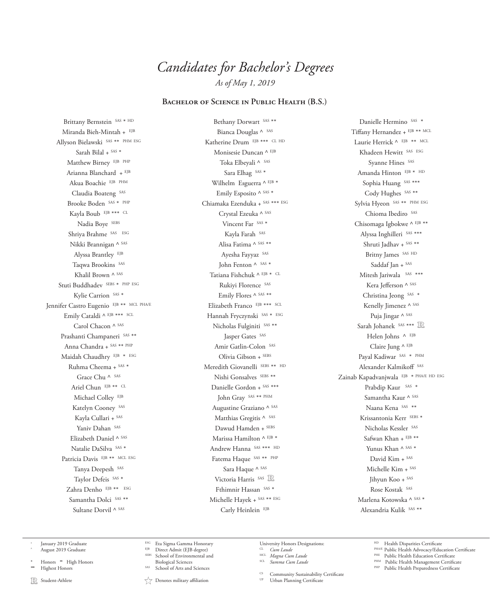## **Bachelor of Science in Public Health (B.S.)**

Brittany Bernstein SAS \* HD Miranda Bieh-Mintah + EJB Allyson Bielawski SAS \*\* PHM ESG Sarah Bilal + SAS \* Matthew Birney EJB PHP Arianna Blanchard + EJB Akua Boachie EJB PHM Claudia Boateng SAS Brooke Boden SAS \* PHP Kayla Boub EJB \*\*\* CL Nadia Boye SEBS Shriya Brahme SAS ESG Nikki Brannigan ^ SAS Alyssa Brantley EJB Taqwa Brookins SAS Khalil Brown ^ SAS Stuti Buddhadev SEBS \* PHP ESG Kylie Carrion SAS \* Jennifer Castro Eugenio EJB \*\* MCL PHA/E Emily Cataldi ^ EJB \*\*\* SCL Carol Chacon ^ SAS Prashanti Champaneri SAS \*\* Anna Chandra + SAS \*\* PHP Maidah Chaudhry EJB \* ESG Ruhma Cheema + SAS \* Grace Chu ^ SAS Ariel Chun EJB \*\* CL Michael Colley EJB Katelyn Cooney SAS Kayla Cullari + SAS Yaniv Dahan SAS Elizabeth Daniel ^ SAS Natalie DaSilva SAS \* Patricia Davis EJB \*\* MCL ESG Tanya Deepesh SAS Taylor Defeis SAS \* Zahra Denho EJB \*\* ESG Samantha Dolci SAS \*\* Sultane Dorvil ^ SAS

Bethany Dorwart SAS \*\* Bianca Douglas ^ SAS Katherine Drum EJB \*\*\* CL HD Monisesie Duncan ^ EJB Toka Elbeyali ^ SAS Sara Elhag SAS \* Wilhelm Esguerra ^ EJB \* Emily Esposito ^ SAS \* Chiamaka Ezenduka + SAS \*\*\* ESG Crystal Ezeuka ^ SAS Vincent Far SAS \* Kayla Farah SAS Alisa Fatima ^ SAS \*\* Ayesha Fayyaz SAS John Fenton ^ SAS \* Tatiana Fishchuk ^ EJB \* CL Rukiyi Florence SAS Emily Flores ^ SAS \*\* Elizabeth Franco EJB \*\*\* SCL Hannah Fryczynski SAS \* ESG Nicholas Fulginiti SAS \*\* Jasper Gates SAS Amir Gatlin-Colon SAS Olivia Gibson + SEBS Meredith Giovanelli SEBS \*\* HD Nishi Gonsalves SEBS \*\* Danielle Gordon + SAS \*\*\* John Gray SAS \*\* PHM Augustine Graziano ^ SAS Matthias Gregitis ^ SAS Dawud Hamden + SEBS Marissa Hamilton ^ EJB \* Andrew Hanna SAS \*\*\* HD Fatema Haque SAS \*\* PHP Sara Haque ^ SAS Victoria Harris SAS R Fthimnir Hassan SAS \* Michelle Hayek + SAS \*\* ESG Carly Heinlein EJB

Danielle Hermino SAS \* Tiffany Hernandez + EJB \*\* MCL Laurie Herrick ^ EJB \*\* MCL Khadeen Hewitt SAS ESG Syanne Hines SAS Amanda Hinton EJB \* HD Sophia Huang SAS \*\*\* Cody Hughes SAS \*\* Sylvia Hyeon SAS \*\* PHM ESG Chioma Ibediro SAS Chisomaga Igbokwe ^ EJB \*\* Alyssa Inghilleri SAS \*\*\* Shruti Jadhav + SAS \*\* Britny James SAS HD Saddaf Jan + SAS Mitesh Jariwala SAS \*\*\* Kera Jefferson ^ SAS Christina Jeong SAS \* Kenelly Jimenez ^ SAS Puja Jingar ^ SAS Sarah Johanek SAS \*\*\* R Helen Johns ^ EJB Claire Jung ^ EJB Payal Kadiwar SAS \* PHM Alexander Kalmikoff SAS Zainab Kapadvanjwala EJB \* PHA/E HD ESG Prabdip Kaur SAS \* Samantha Kaur ^ SAS Naana Kena SAS \*\* Krissantonia Kerr SEBS \* Nicholas Kessler SAS Safwan Khan + EJB \*\* Yunus Khan ^ SAS \* David Kim + SAS Michelle Kim + SAS Jihyun Koo + SAS Rose Kostak SAS Marlena Kotowska ^ SAS \* Alexandria Kulik SAS \*\*

- January 2019 Graduate August 2019 Graduate
- \* Honors \*\* High Honors Highest Honors
- **R** Student-Athlete
- $EJB$  Direct Admit (EJB degree)
- ESG Eta Sigma Gamma Honorary School of Environmental and Biological Sciences
	- School of Arts and Sciences

 $\sqrt{\phantom{a}}$  Denotes military affiliation

University Honors Designations:<br>CL Cum Laude

- CL *Cum Laude* MCL *Magna Cum Laude* SCL *Summa Cum Laude*
- 

Community Sustainability Certificate

- Health Disparities Certificate
- 
- 
- Public Health Preparedness Certificate
- Urban Planning Certificate
- PHA/E Public Health Advocacy/Education Certificate<br>PHE Public Health Education Certificate<br>PHM Public Health Management Certificate<br>PHM Public Health Preparedness Certificate
	-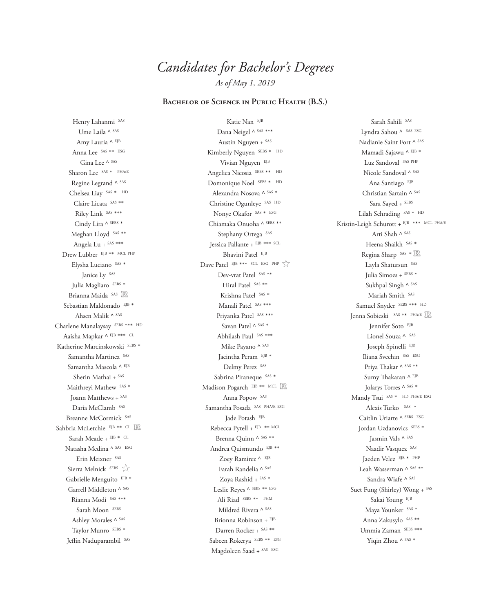## **Bachelor of Science in Public Health (B.S.)**

Henry Lahanmi SAS Ume Laila ^ SAS Amy Lauria ^ EJB Anna Lee SAS \*\* ESG Gina Lee A SAS Sharon Lee SAS \* PHA/E Regine Legrand ^ SAS Chelsea Liay SAS \* HD Claire Licata SAS \*\* Riley Link SAS \*\*\* Cindy Lira ^ SEBS \* Meghan Lloyd SAS \*\* Angela Lu + SAS \*\*\* Drew Lubber EJB \*\* MCL PHP Elysha Luciano SAS \* Janice Ly SAS Julia Magliaro SEBS \* Brianna Maida SAS Sebastian Maldonado EJB \* Ahsen Malik ^ SAS Charlene Manalaysay SEBS \*\*\* HD Aaisha Mapkar ^ EJB \*\*\* CL Katherine Marcinskowski<br/>  $\mbox{\tiny SEBS} *$ Samantha Martinez SAS Samantha Mascola ^ EJB Sherin Mathai + SAS Maithreyi Mathew SAS \* Joann Matthews + SAS Daria McClamb SAS Breanne McCormick SAS Sahbria McLetchie EJB \*\* CL Sarah Meade + EJB \* CL Natasha Medina ^ SAS ESG Erin Meixner SAS Sierra Melnick SEBS  $\sqrt{\atop }$ Gabrielle Menguito EJB \* Garrell Middleton ^ SAS Rianna Modi SAS \*\*\* Sarah Moon SEBS Ashley Morales A SAS Taylor Munro SEBS \* Jeffin Naduparambil SAS

Katie Nan EJB Dana Neigel ^ SAS \*\*\* Austin Nguyen + SAS Kimberly Nguyen SEBS \* HD Vivian Nguyen EJB Angelica Nicosia SEBS \*\* HD Domonique Noel SEBS \* HD Alexandra Nosova ^ SAS \* Christine Ogunleye SAS HD Nonye Okafor SAS \* ESG Chiamaka Onuoha ^ SEBS \*\* Stephany Ortega SAS Jessica Pallante + EJB \*\*\* SCL Bhavini Patel EJB Dave Patel EJB \*\*\* SCL ESG PHP Dev-vrat Patel SAS \*\* Hiral Patel SAS \*\* Krishna Patel SAS \* Manali Patel SAS \*\*\* Priyanka Patel SAS \*\*\* Savan Patel ^ SAS \* Abhilash Paul SAS \*\*\* Mike Payano ^ SAS Jacintha Peram EJB \* Delmy Perez SAS Sabrina Piraneque SAS \* Madison Pogarch EJB \*\* MCL R Anna Popow SAS Samantha Posada SAS PHA/E ESG Jade Potash EJB Rebecca Pytell + EJB \*\* MCL Brenna Quinn ^ SAS \*\* Andrea Quismundo EJB \*\* Zoey Ramirez ^ EJB Farah Randelia ^ SAS Zoya Rashid + SAS \* Leslie Reyes ^ SEBS \*\* ESG Ali Riad SEBS \*\* PHM Mildred Rivera ^ SAS Brionna Robinson + EJB Darren Rocker + SAS \*\* Sabeen Rokerya SEBS \*\* ESG Magdoleen Saad + SAS ESG

Sarah Sahili SAS Lyndra Sahou ^ SAS ESG Nadianie Saint Fort ^ SAS Mamadi Sajawu ^ EJB \* Luz Sandoval SAS PHP Nicole Sandoval ^ SAS Ana Santiago EJB Christian Sartain ^ SAS Sara Sayed + SEBS Lilah Schrading SAS \* HD Kristin-Leigh Schurott + EJB \*\*\* MCL PHA/E Arti Shah ^ SAS Heena Shaikh SAS \* Regina Sharp SAS \* R Layla Shatursun SAS Julia Simoes + SEBS \* Sukhpal Singh ^ SAS Mariah Smith SAS Samuel Snyder SEBS \*\*\* HD Jenna Sobieski SAS \*\* PHA/E Jennifer Soto EJB Lionel Souza ^ SAS Joseph Spinelli EJB Iliana Svechin SAS ESG Priya Thakar ^ SAS \*\* Sumy Thakaran ^ EJB Jolarys Torres ^ SAS \* Mandy Tsui SAS \* HD PHA/E ESG Alexis Turko SAS \* Caitlin Uriarte ^ SEBS ESG Jordan Uzdanovics SEBS \* Jasmin Vals ^ SAS Naadir Vasquez SAS Jaeden Velez EJB \* PHP Leah Wasserman ^ SAS \*\* Sandra Wiafe ^ SAS Suet Fung (Shirley) Wong + SAS Sakai Young EJB Maya Younker SAS \* Anna Zakusylo SAS \*\* Ummia Zaman SEBS \*\*\* Yiqin Zhou ^ SAS \*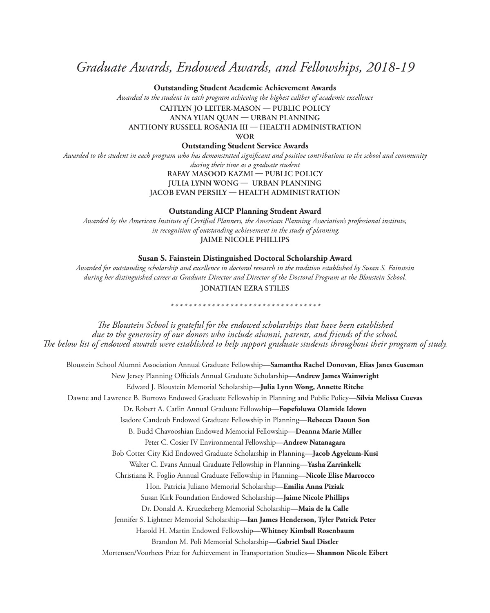## *Graduate Awards, Endowed Awards, and Fellowships, 2018-19*

**Outstanding Student Academic Achievement Awards**

*Awarded to the student in each program achieving the highest caliber of academic excellence* 

**CAITLYN JO LEITER-MASON — PUBLIC POLICY ANNA YUAN QUAN — URBAN PLANNING**

**ANTHONY RUSSELL ROSANIA III — HEALTH ADMINISTRATION**

**WOR**

**Outstanding Student Service Awards**

*Awarded to the student in each program who has demonstrated significant and positive contributions to the school and community during their time as a graduate student* 

**RAFAY MASOOD KAZMI — PUBLIC POLICY JULIA LYNN WONG — URBAN PLANNING**

**JACOB EVAN PERSILY — HEALTH ADMINISTRATION**

**Outstanding AICP Planning Student Award**

*Awarded by the American Institute of Certified Planners, the American Planning Association's professional institute, in recognition of outstanding achievement in the study of planning.* **JAIME NICOLE PHILLIPS**

**Susan S. Fainstein Distinguished Doctoral Scholarship Award**

*Awarded for outstanding scholarship and excellence in doctoral research in the tradition established by Susan S. Fainstein during her distinguished career as Graduate Director and Director of the Doctoral Program at the Bloustein School.* **JONATHAN EZRA STILES**

*\*\*\*\*\*\*\*\*\*\*\*\*\*\*\*\*\*\*\*\*\*\*\*\*\*\*\*\*\*\*\*\*\**

*The Bloustein School is grateful for the endowed scholarships that have been established due to the generosity of our donors who include alumni, parents, and friends of the school. The below list of endowed awards were established to help support graduate students throughout their program of study.*

Bloustein School Alumni Association Annual Graduate Fellowship—**Samantha Rachel Donovan, Elias Janes Guseman** New Jersey Planning Officials Annual Graduate Scholarship—**Andrew James Wainwright** Edward J. Bloustein Memorial Scholarship—**Julia Lynn Wong, Annette Ritche** Dawne and Lawrence B. Burrows Endowed Graduate Fellowship in Planning and Public Policy—**Silvia Melissa Cuevas** Dr. Robert A. Catlin Annual Graduate Fellowship—**Fopefoluwa Olamide Idowu** Isadore Candeub Endowed Graduate Fellowship in Planning—**Rebecca Daoun Son** B. Budd Chavooshian Endowed Memorial Fellowship—**Deanna Marie Miller** Peter C. Cosier IV Environmental Fellowship—**Andrew Natanagara** Bob Cotter City Kid Endowed Graduate Scholarship in Planning—**Jacob Agyekum-Kusi** Walter C. Evans Annual Graduate Fellowship in Planning—**Yasha Zarrinkelk** Christiana R. Foglio Annual Graduate Fellowship in Planning—**Nicole Elise Marrocco**  Hon. Patricia Juliano Memorial Scholarship—**Emilia Anna Piziak** Susan Kirk Foundation Endowed Scholarship—**Jaime Nicole Phillips** Dr. Donald A. Krueckeberg Memorial Scholarship—**Maia de la Calle** Jennifer S. Lightner Memorial Scholarship—**Ian James Henderson, Tyler Patrick Peter** Harold H. Martin Endowed Fellowship—**Whitney Kimball Rosenbaum** Brandon M. Poli Memorial Scholarship—**Gabriel Saul Distler** Mortensen/Voorhees Prize for Achievement in Transportation Studies— **Shannon Nicole Eibert**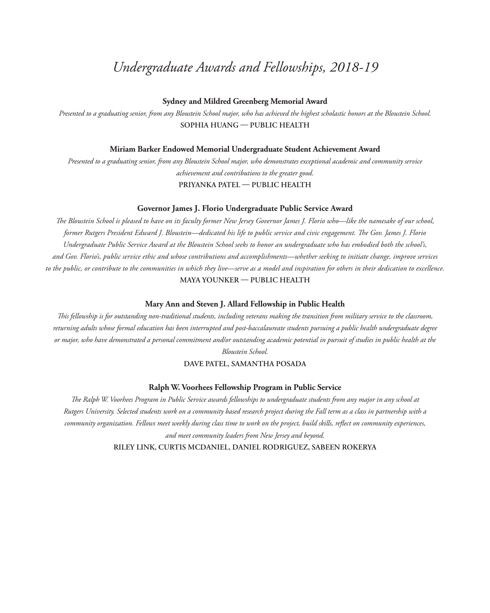## *Undergraduate Awards and Fellowships, 2018-19*

## **Sydney and Mildred Greenberg Memorial Award**

*Presented to a graduating senior, from any Bloustein School major, who has achieved the highest scholastic honors at the Bloustein School.*  **SOPHIA HUANG — PUBLIC HEALTH**

#### **Miriam Barker Endowed Memorial Undergraduate Student Achievement Award**

*Presented to a graduating senior, from any Bloustein School major, who demonstrates exceptional academic and community service achievement and contributions to the greater good*.

**PRIYANKA PATEL — PUBLIC HEALTH**

## **Governor James J. Florio Undergraduate Public Service Award**

*The Bloustein School is pleased to have on its faculty former New Jersey Governor James J. Florio who—like the namesake of our school, former Rutgers President Edward J. Bloustein—dedicated his life to public service and civic engagement. The Gov. James J. Florio Undergraduate Public Service Award at the Bloustein School seeks to honor an undergraduate who has embodied both the school's, and Gov. Florio's, public service ethic and whose contributions and accomplishments—whether seeking to initiate change, improve services to the public, or contribute to the communities in which they live—serve as a model and inspiration for others in their dedication to excellence.* **MAYA YOUNKER — PUBLIC HEALTH**

#### **Mary Ann and Steven J. Allard Fellowship in Public Health**

*This fellowship is for outstanding non-traditional students, including veterans making the transition from military service to the classroom, returning adults whose formal education has been interrupted and post-baccalaureate students pursuing a public health undergraduate degree or major, who have demonstrated a personal commitment and/or outstanding academic potential in pursuit of studies in public health at the* 

*Bloustein School.*

## **DAVE PATEL, SAMANTHA POSADA**

## **Ralph W. Voorhees Fellowship Program in Public Service**

*The Ralph W. Voorhees Program in Public Service awards fellowships to undergraduate students from any major in any school at Rutgers University. Selected students work on a community based research project during the Fall term as a class in partnership with a community organization. Fellows meet weekly during class time to work on the project, build skills, reflect on community experiences, and meet community leaders from New Jersey and beyond.*

**RILEY LINK, CURTIS MCDANIEL, DANIEL RODRIGUEZ, SABEEN ROKERYA**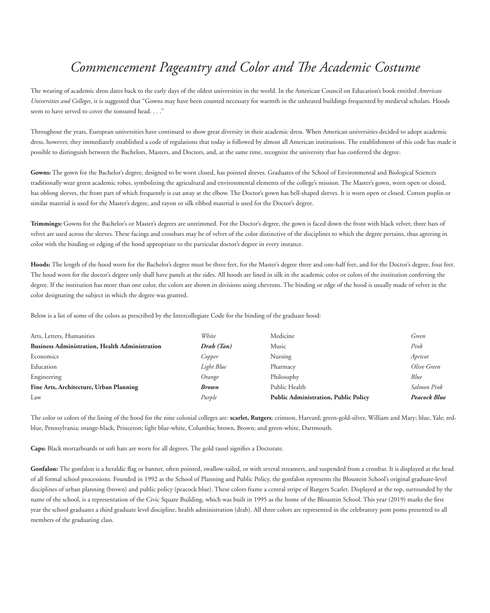## *Commencement Pageantry and Color and The Academic Costume*

The wearing of academic dress dates back to the early days of the oldest universities in the world. In the American Council on Education's book entitled *American Universities and Colleges*, it is suggested that "Gowns may have been counted necessary for warmth in the unheated buildings frequented by medieval scholars. Hoods seem to have served to cover the tonsured head. . . ."

Throughout the years, European universities have continued to show great diversity in their academic dress. When American universities decided to adopt academic dress, however, they immediately established a code of regulations that today is followed by almost all American institutions. The establishment of this code has made it possible to distinguish between the Bachelors, Masters, and Doctors, and, at the same time, recognize the university that has conferred the degree.

**Gowns:** The gown for the Bachelor's degree, designed to be worn closed, has pointed sleeves. Graduates of the School of Environmental and Biological Sciences traditionally wear green academic robes, symbolizing the agricultural and environmental elements of the college's mission. The Master's gown, worn open or closed, has oblong sleeves, the front part of which frequently is cut away at the elbow. The Doctor's gown has bell-shaped sleeves. It is worn open or closed. Cotton poplin or similar material is used for the Master's degree, and rayon or silk ribbed material is used for the Doctor's degree.

**Trimmings:** Gowns for the Bachelor's or Master's degrees are untrimmed. For the Doctor's degree, the gown is faced down the front with black velvet; three bars of velvet are used across the sleeves. These facings and crossbars may be of velvet of the color distinctive of the disciplines to which the degree pertains, thus agreeing in color with the binding or edging of the hood appropriate to the particular doctor's degree in every instance.

**Hoods:** The length of the hood worn for the Bachelor's degree must be three feet, for the Master's degree three and one-half feet, and for the Doctor's degree, four feet. The hood worn for the doctor's degree only shall have panels at the sides. All hoods are lined in silk in the academic color or colors of the institution conferring the degree. If the institution has more than one color, the colors are shown in divisions using chevrons. The binding or edge of the hood is usually made of velvet in the color designating the subject in which the degree was granted.

Below is a list of some of the colors as prescribed by the Intercollegiate Code for the binding of the graduate hood:

| Arts, Letters, Humanities                             | White      | Medicine                                    | Green        |
|-------------------------------------------------------|------------|---------------------------------------------|--------------|
| <b>Business Administration, Health Administration</b> | Drab (Tan) | Music                                       | Pink         |
| Economics                                             | Copper     | Nursing                                     | Apricot      |
| Education                                             | Light Blue | Pharmacy                                    | Olive Green  |
| Engineering                                           | Orange     | Philosophy                                  | Blue         |
| Fine Arts, Architecture, Urban Planning               | Brown      | Public Health                               | Salmon Pink  |
| Law                                                   | Purple     | <b>Public Administration, Public Policy</b> | Peacock Blue |

The color or colors of the lining of the hood for the nine colonial colleges are: **scarlet, Rutgers**; crimson, Harvard; green-gold-silver, William and Mary; blue, Yale; redblue, Pennsylvania; orange-black, Princeton; light blue-white, Columbia; brown, Brown; and green-white, Dartmouth.

**Caps:** Black mortarboards or soft hats are worn for all degrees. The gold tassel signifies a Doctorate.

Gonfalon: The gonfalon is a heraldic flag or banner, often pointed, swallow-tailed, or with several streamers, and suspended from a crossbar. It is displayed at the head of all formal school processions. Founded in 1992 as the School of Planning and Public Policy, the gonfalon represents the Bloustein School's original graduate-level disciplines of urban planning (brown) and public policy (peacock blue). These colors frame a central stripe of Rutgers Scarlet. Displayed at the top, surrounded by the name of the school, is a representation of the Civic Square Building, which was built in 1995 as the home of the Bloustein School. This year (2019) marks the first year the school graduates a third graduate level discipline, health administration (drab). All three colors are represented in the celebratory pom poms presented to all members of the graduating class.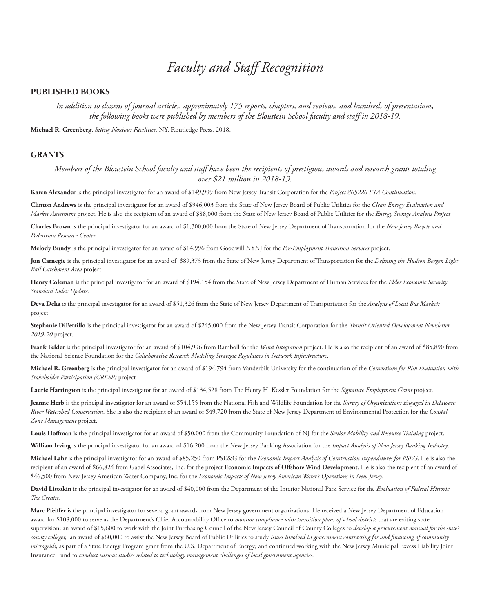#### **PUBLISHED BOOKS**

*In addition to dozens of journal articles, approximately 175 reports, chapters, and reviews, and hundreds of presentations, the following books were published by members of the Bloustein School faculty and staff in 2018-19.*

**Michael R. Greenberg**. *Siting Noxious Facilities*. NY, Routledge Press. 2018.

#### **GRANTS**

*Members of the Bloustein School faculty and staff have been the recipients of prestigious awards and research grants totaling over \$21 million in 2018-19.*

**Karen Alexander** is the principal investigator for an award of \$149,999 from New Jersey Transit Corporation for the *Project 805220 FTA Continuation*.

**Clinton Andrews** is the principal investigator for an award of \$946,003 from the State of New Jersey Board of Public Utilities for the *Clean Energy Evaluation and Market Assessment* project. He is also the recipient of an award of \$88,000 from the State of New Jersey Board of Public Utilities for the *Energy Storage Analysis Project*

**Charles Brown** is the principal investigator for an award of \$1,300,000 from the State of New Jersey Department of Transportation for the *New Jersey Bicycle and Pedestrian Resource Center*.

**Melody Bundy** is the principal investigator for an award of \$14,996 from Goodwill NYNJ for the *Pre-Employment Transition Services* project.

**Jon Carnegie** is the principal investigator for an award of \$89,373 from the State of New Jersey Department of Transportation for the *Defining the Hudson Bergen Light Rail Catchment Area* project.

**Henry Coleman** is the principal investigator for an award of \$194,154 from the State of New Jersey Department of Human Services for the *Elder Economic Security Standard Index Update.*

**Deva Deka** is the principal investigator for an award of \$51,326 from the State of New Jersey Department of Transportation for the *Analysis of Local Bus Markets*  project.

**Stephanie DiPetrillo** is the principal investigator for an award of \$245,000 from the New Jersey Transit Corporation for the *Transit Oriented Development Newsletter 2019-20* project.

**Frank Felder** is the principal investigator for an award of \$104,996 from Ramboll for the *Wind Integration* project. He is also the recipient of an award of \$85,890 from the National Science Foundation for the *Collaborative Research Modeling Strategic Regulators in Network Infrastructure*.

**Michael R. Greenberg** is the principal investigator for an award of \$194,794 from Vanderbilt University for the continuation of the *Consortium for Risk Evaluation with Stakeholder Participation (CRESP)* project

**Laurie Harrington** is the principal investigator for an award of \$134,528 from The Henry H. Kessler Foundation for the *Signature Employment Grant* project.

**Jeanne Herb** is the principal investigator for an award of \$54,155 from the National Fish and Wildlife Foundation for the *Survey of Organizations Engaged in Delaware River Watershed Conservation*. She is also the recipient of an award of \$49,720 from the State of New Jersey Department of Environmental Protection for the *Coastal Zone Management* project.

**Louis Hoffman** is the principal investigator for an award of \$50,000 from the Community Foundation of NJ for the *Senior Mobility and Resource Training* project.

**William Irving** is the principal investigator for an award of \$16,200 from the New Jersey Banking Association for the *Impact Analysis of New Jersey Banking Industry*.

**Michael Lahr** is the principal investigator for an award of \$85,250 from PSE&G for the *Economic Impact Analysis of Construction Expenditures for PSEG*. He is also the recipient of an award of \$66,824 from Gabel Associates, Inc. for the project **Economic Impacts of Offshore Wind Development**. He is also the recipient of an award of \$46,500 from New Jersey American Water Company, Inc. for the *Economic Impacts of New Jersey American Water's Operations in New Jersey*.

**David Listokin** is the principal investigator for an award of \$40,000 from the Department of the Interior National Park Service for the *Evaluation of Federal Historic Tax Credits*.

**Marc Pfeiffer** is the principal investigator for several grant awards from New Jersey government organizations. He received a New Jersey Department of Education award for \$108,000 to serve as the Department's Chief Accountability Office to *monitor compliance with transition plans of school districts* that are exiting state supervision; an award of \$15,600 to work with the Joint Purchasing Council of the New Jersey Council of County Colleges to *develop a procurement manual for the state's county colleges*; an award of \$60,000 to assist the New Jersey Board of Public Utilities to study *issues involved in government contracting for and financing of community microgrids*, as part of a State Energy Program grant from the U.S. Department of Energy; and continued working with the New Jersey Municipal Excess Liability Joint Insurance Fund to *conduct various studies related to technology management challenges of local government agencies*.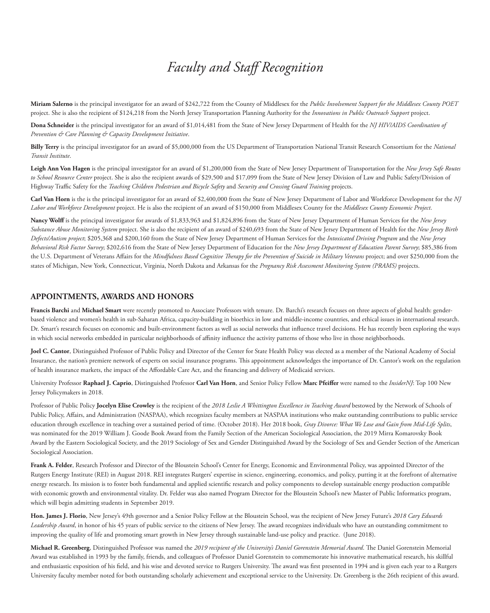**Miriam Salerno** is the principal investigator for an award of \$242,722 from the County of Middlesex for the *Public Involvement Support for the Middlesex County POET* project. She is also the recipient of \$124,218 from the North Jersey Transportation Planning Authority for the *Innovations in Public Outreach Support* project.

**Dona Schneider** is the principal investigator for an award of \$1,014,481 from the State of New Jersey Department of Health for the *NJ HIV/AIDS Coordination of Prevention & Care Planning & Capacity Development Initiative*.

**Billy Terry** is the principal investigator for an award of \$5,000,000 from the US Department of Transportation National Transit Research Consortium for the *National Transit Institute*.

**Leigh Ann Von Hagen** is the principal investigator for an award of \$1,200,000 from the State of New Jersey Department of Transportation for the *New Jersey Safe Routes*  to School Resource Center project. She is also the recipient awards of \$29,500 and \$17,099 from the State of New Jersey Division of Law and Public Safety/Division of Highway Traffic Safety for the *Teaching Children Pedestrian and Bicycle Safety* and *Security and Crossing Guard Training* projects.

**Carl Van Horn** is the is the principal investigator for an award of \$2,400,000 from the State of New Jersey Department of Labor and Workforce Development for the *NJ Labor and Workforce Development* project. He is also the recipient of an award of \$150,000 from Middlesex County for the *Middlesex County Economic Project*.

**Nancy Wolff** is the principal investigator for awards of \$1,833,963 and \$1,824,896 from the State of New Jersey Department of Human Services for the *New Jersey Substance Abuse Monitoring System* project. She is also the recipient of an award of \$240,693 from the State of New Jersey Department of Health for the *New Jersey Birth Defects/Autism project*; \$205,368 and \$200,160 from the State of New Jersey Department of Human Services for the *Intoxicated Driving Program* and the *New Jersey Behavioral Risk Factor Survey*; \$202,616 from the State of New Jersey Department of Education for the *New Jersey Department of Education Parent Survey*; \$85,386 from the U.S. Department of Veterans Affairs for the *Mindfulness Based Cognitive Therapy for the Prevention of Suicide in Military Veterans* project; and over \$250,000 from the states of Michigan, New York, Connecticut, Virginia, North Dakota and Arkansas for the *Pregnancy Risk Assessment Monitoring System (PRAMS)* projects.

#### **APPOINTMENTS, AWARDS AND HONORS**

**Francis Barchi** and **Michael Smart** were recently promoted to Associate Professors with tenure. Dr. Barchi's research focuses on three aspects of global health: genderbased violence and women's health in sub-Saharan Africa, capacity-building in bioethics in low and middle-income countries, and ethical issues in international research. Dr. Smart's research focuses on economic and built-environment factors as well as social networks that influence travel decisions. He has recently been exploring the ways in which social networks embedded in particular neighborhoods of affinity influence the activity patterns of those who live in those neighborhoods.

**Joel C. Cantor**, Distinguished Professor of Public Policy and Director of the Center for State Health Policy was elected as a member of the National Academy of Social Insurance, the nation's premiere network of experts on social insurance programs. This appointment acknowledges the importance of Dr. Cantor's work on the regulation of health insurance markets, the impact of the Affordable Care Act, and the financing and delivery of Medicaid services.

University Professor **Raphael J. Caprio**, Distinguished Professor **Carl Van Horn**, and Senior Policy Fellow **Marc Pfeiffer** were named to the *InsiderNJ*: Top 100 New Jersey Policymakers in 2018.

Professor of Public Policy **Jocelyn Elise Crowley** is the recipient of the *2018 Leslie A Whittington Excellence in Teaching Award* bestowed by the Network of Schools of Public Policy, Affairs, and Administration (NASPAA), which recognizes faculty members at NASPAA institutions who make outstanding contributions to public service education through excellence in teaching over a sustained period of time. (October 2018). Her 2018 book, *Gray Divorce: What We Lose and Gain from Mid-Life Splits*, was nominated for the 2019 William J. Goode Book Award from the Family Section of the American Sociological Association, the 2019 Mirra Komarovsky Book Award by the Eastern Sociological Society, and the 2019 Sociology of Sex and Gender Distinguished Award by the Sociology of Sex and Gender Section of the American Sociological Association.

**Frank A. Felder**, Research Professor and Director of the Bloustein School's Center for Energy, Economic and Environmental Policy, was appointed Director of the Rutgers Energy Institute (REI) in August 2018. REI integrates Rutgers' expertise in science, engineering, economics, and policy, putting it at the forefront of alternative energy research. Its mission is to foster both fundamental and applied scientific research and policy components to develop sustainable energy production compatible with economic growth and environmental vitality. Dr. Felder was also named Program Director for the Bloustein School's new Master of Public Informatics program, which will begin admitting students in September 2019.

**Hon. James J. Florio**, New Jersey's 49th governor and a Senior Policy Fellow at the Bloustein School, was the recipient of New Jersey Future's *2018 Cary Edwards Leadership Award*, in honor of his 45 years of public service to the citizens of New Jersey. The award recognizes individuals who have an outstanding commitment to improving the quality of life and promoting smart growth in New Jersey through sustainable land-use policy and practice. (June 2018).

**Michael R. Greenberg**, Distinguished Professor was named the *2019 recipient of the University's Daniel Gorenstein Memorial Award*. The Daniel Gorenstein Memorial Award was established in 1993 by the family, friends, and colleagues of Professor Daniel Gorenstein to commemorate his innovative mathematical research, his skillful and enthusiastic exposition of his field, and his wise and devoted service to Rutgers University. The award was first presented in 1994 and is given each year to a Rutgers University faculty member noted for both outstanding scholarly achievement and exceptional service to the University. Dr. Greenberg is the 26th recipient of this award.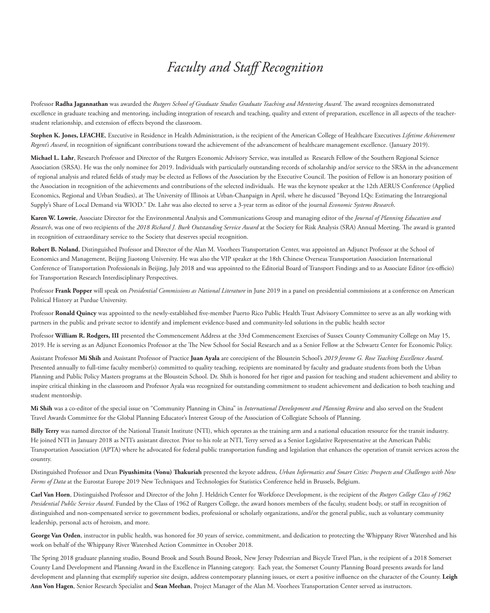Professor **Radha Jagannathan** was awarded the *Rutgers School of Graduate Studies Graduate Teaching and Mentoring Award*. The award recognizes demonstrated excellence in graduate teaching and mentoring, including integration of research and teaching, quality and extent of preparation, excellence in all aspects of the teacherstudent relationship, and extension of effects beyond the classroom.

**Stephen K. Jones, LFACHE**, Executive in Residence in Health Administration, is the recipient of the American College of Healthcare Executives *Lifetime Achievement Regent's Award*, in recognition of significant contributions toward the achievement of the advancement of healthcare management excellence. (January 2019).

**Michael L. Lahr**, Research Professor and Director of the Rutgers Economic Advisory Service, was installed as Research Fellow of the Southern Regional Science Association (SRSA). He was the only nominee for 2019. Individuals with particularly outstanding records of scholarship and/or service to the SRSA in the advancement of regional analysis and related fields of study may be elected as Fellows of the Association by the Executive Council. The position of Fellow is an honorary position of the Association in recognition of the achievements and contributions of the selected individuals. He was the keynote speaker at the 12th AERUS Conference (Applied Economics, Regional and Urban Studies), at The University of Illinois at Urban-Chanpaign in April, where he discussed "Beyond LQs: Estimating the Intraregional Supply's Share of Local Demand via WIOD." Dr. Lahr was also elected to serve a 3-year term as editor of the journal *Economic Systems Research*.

**Karen W. Lowrie**, Associate Director for the Environmental Analysis and Communications Group and managing editor of the *Journal of Planning Education and Research*, was one of two recipients of the *2018 Richard J. Burk Outstanding Service Award* at the Society for Risk Analysis (SRA) Annual Meeting. The award is granted in recognition of extraordinary service to the Society that deserves special recognition.

**Robert B. Noland**, Distinguished Professor and Director of the Alan M. Voorhees Transportation Center, was appointed an Adjunct Professor at the School of Economics and Management, Beijing Jiaotong University. He was also the VIP speaker at the 18th Chinese Overseas Transportation Association International Conference of Transportation Professionals in Beijing, July 2018 and was appointed to the Editorial Board of Transport Findings and to as Associate Editor (ex-officio) for Transportation Research Interdisciplinary Perspectives.

Professor **Frank Popper** will speak on *Presidential Commissions as National Literature* in June 2019 in a panel on presidential commissions at a conference on American Political History at Purdue University.

Professor **Ronald Quincy** was appointed to the newly-established five-member Puerto Rico Public Health Trust Advisory Committee to serve as an ally working with partners in the public and private sector to identify and implement evidence-based and community-led solutions in the public health sector

Professor **William R. Rodgers, III** presented the Commencement Address at the 33rd Commencement Exercises of Sussex County Community College on May 15, 2019. He is serving as an Adjunct Economics Professor at the The New School for Social Research and as a Senior Fellow at the Schwartz Center for Economic Policy.

Assistant Professor **Mi Shih** and Assistant Professor of Practice **Juan Ayala** are corecipient of the Bloustein School's *2019 Jerome G. Rose Teaching Excellence Award*. Presented annually to full-time faculty member(s) committed to quality teaching, recipients are nominated by faculty and graduate students from both the Urban Planning and Public Policy Masters programs at the Bloustein School. Dr. Shih is honored for her rigor and passion for teaching and student achievement and ability to inspire critical thinking in the classroom and Professor Ayala was recognized for outstanding commitment to student achievement and dedication to both teaching and student mentorship.

**Mi Shih** was a co-editor of the special issue on "Community Planning in China" in *International Development and Planning Review* and also served on the Student Travel Awards Committee for the Global Planning Educator's Interest Group of the Association of Collegiate Schools of Planning.

**Billy Terry** was named director of the National Transit Institute (NTI), which operates as the training arm and a national education resource for the transit industry. He joined NTI in January 2018 as NTI's assistant director. Prior to his role at NTI, Terry served as a Senior Legislative Representative at the American Public Transportation Association (APTA) where he advocated for federal public transportation funding and legislation that enhances the operation of transit services across the country.

Distinguished Professor and Dean **Piyushimita (Vonu) Thakuriah** presented the keyote address, *Urban Informatics and Smart Cities: Prospects and Challenges with New Forms of Data* at the Eurostat Europe 2019 New Techniques and Technologies for Statistics Conference held in Brussels, Belgium.

**Carl Van Horn**, Distinguished Professor and Director of the John J. Heldrich Center for Workforce Development, is the recipient of the *Rutgers College Class of 1962 Presidential Public Service Award*. Funded by the Class of 1962 of Rutgers College, the award honors members of the faculty, student body, or staff in recognition of distinguished and non-compensated service to government bodies, professional or scholarly organizations, and/or the general public, such as voluntary community leadership, personal acts of heroism, and more.

George Van Orden, instructor in public health, was honored for 30 years of service, commitment, and dedication to protecting the Whippany River Watershed and his work on behalf of the Whippany River Watershed Action Committee in October 2018.

The Spring 2018 graduate planning studio, Bound Brook and South Bound Brook, New Jersey Pedestrian and Bicycle Travel Plan, is the recipient of a 2018 Somerset County Land Development and Planning Award in the Excellence in Planning category. Each year, the Somerset County Planning Board presents awards for land development and planning that exemplify superior site design, address contemporary planning issues, or exert a positive influence on the character of the County. **Leigh Ann Von Hagen**, Senior Research Specialist and **Sean Meehan**, Project Manager of the Alan M. Voorhees Transportation Center served as instructors.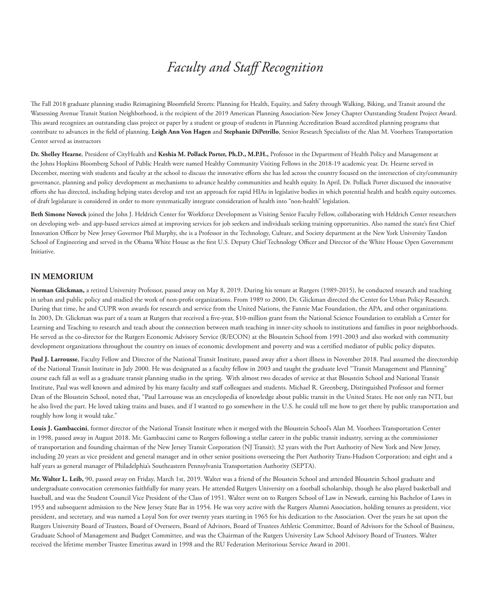The Fall 2018 graduate planning studio Reimagining Bloomfield Streets: Planning for Health, Equiity, and Safety through Walking, Biking, and Transit around the Watsessing Avenue Transit Station Neighborhood, is the recipient of the 2019 American Planning Association-New Jersey Chapter Outstanding Student Project Award. This award recognizes an outstanding class project or paper by a student or group of students in Planning Accreditation Board accredited planning programs that contribute to advances in the field of planning. **Leigh Ann Von Hagen** and **Stephanie DiPetrillo**, Senior Research Specialists of the Alan M. Voorhees Transportation Center served as instructors

**Dr. Shelley Hearne**, President of CityHealth and **Keshia M. Pollack Porter, Ph.D., M.P.H.,** Professor in the Department of Health Policy and Management at the Johns Hopkins Bloomberg School of Public Health were named Healthy Community Visiting Fellows in the 2018-19 academic year. Dr. Hearne served in December, meeting with students and faculty at the school to discuss the innovative efforts she has led across the country focused on the intersection of city/community governance, planning and policy development as mechanisms to advance healthy communities and health equity. In April, Dr. Pollack Porter discussed the innovative efforts she has directed, including helping states develop and test an approach for rapid HIAs in legislative bodies in which potential health and health equity outcomes. of draft legislature is considered in order to more systematically integrate consideration of health into "non-health" legislation.

**Beth Simone Noveck** joined the John J. Heldrich Center for Workforce Development as Visiting Senior Faculty Fellow, collaborating with Heldrich Center researchers on developing web- and app-based services aimed at improving services for job seekers and individuals seeking training opportunities. Also named the state's first Chief Innovation Officer by New Jersey Governor Phil Murphy, she is a Professor in the Technology, Culture, and Society department at the New York University Tandon School of Engineering and served in the Obama White House as the first U.S. Deputy Chief Technology Officer and Director of the White House Open Government Initiative.

## **IN MEMORIUM**

**Norman Glickman,** a retired University Professor, passed away on May 8, 2019. During his tenure at Rutgers (1989-2015), he conducted research and teaching in urban and public policy and studied the work of non-profit organizations. From 1989 to 2000, Dr. Glickman directed the Center for Urban Policy Research. During that time, he and CUPR won awards for research and service from the United Nations, the Fannie Mae Foundation, the APA, and other organizations. In 2003, Dr. Glickman was part of a team at Rutgers that received a five-year, \$10-million grant from the National Science Foundation to establish a Center for Learning and Teaching to research and teach about the connection between math teaching in inner-city schools to institutions and families in poor neighborhoods. He served as the co-director for the Rutgers Economic Advisory Service (R/ECON) at the Bloustein School from 1991-2003 and also worked with community development organizations throughout the country on issues of economic development and poverty and was a certified mediator of public policy disputes.

Paul J. Larrousse, Faculty Fellow and Director of the National Transit Institute, passed away after a short illness in November 2018. Paul assumed the directorship of the National Transit Institute in July 2000. He was designated as a faculty fellow in 2003 and taught the graduate level "Transit Management and Planning" course each fall as well as a graduate transit planning studio in the spring. With almost two decades of service at that Bloustein School and National Transit Institute, Paul was well known and admired by his many faculty and staff colleagues and students. Michael R. Greenberg, Distinguished Professor and former Dean of the Bloustein School, noted that, "Paul Larrousse was an encyclopedia of knowledge about public transit in the United States. He not only ran NTI, but he also lived the part. He loved taking trains and buses, and if I wanted to go somewhere in the U.S. he could tell me how to get there by public transportation and roughly how long it would take."

**Louis J. Gambaccini**, former director of the National Transit Institute when it merged with the Bloustein School's Alan M. Voorhees Transportation Center in 1998, passed away in August 2018. Mr. Gambaccini came to Rutgers following a stellar career in the public transit industry, serving as the commissioner of transportation and founding chairman of the New Jersey Transit Corporation (NJ Transit); 32 years with the Port Authority of New York and New Jersey, including 20 years as vice president and general manager and in other senior positions overseeing the Port Authority Trans-Hudson Corporation; and eight and a half years as general manager of Philadelphia's Southeastern Pennsylvania Transportation Authority (SEPTA).

**Mr. Walter L. Leib,** 90, passed away on Friday, March 1st, 2019. Walter was a friend of the Bloustein School and attended Bloustein School graduate and undergraduate convocation ceremonies faithfully for many years. He attended Rutgers University on a football scholarship, though he also played basketball and baseball, and was the Student Council Vice President of the Class of 1951. Walter went on to Rutgers School of Law in Newark, earning his Bachelor of Laws in 1953 and subsequent admission to the New Jersey State Bar in 1954. He was very active with the Rutgers Alumni Association, holding tenures as president, vice president, and secretary, and was named a Loyal Son for over twenty years starting in 1965 for his dedication to the Association. Over the years he sat upon the Rutgers University Board of Trustees, Board of Overseers, Board of Advisors, Board of Trustees Athletic Committee, Board of Advisors for the School of Business, Graduate School of Management and Budget Committee, and was the Chairman of the Rutgers University Law School Advisory Board of Trustees. Walter received the lifetime member Trustee Emeritus award in 1998 and the RU Federation Meritorious Service Award in 2001.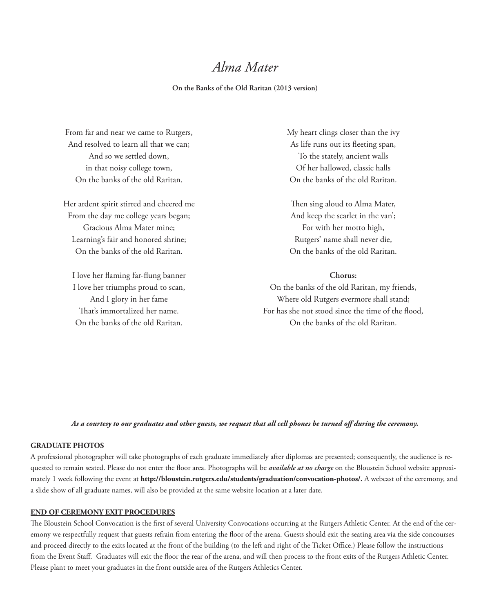## *Alma Mater*

## **On the Banks of the Old Raritan (2013 version)**

From far and near we came to Rutgers, And resolved to learn all that we can; And so we settled down, in that noisy college town, On the banks of the old Raritan.

Her ardent spirit stirred and cheered me From the day me college years began; Gracious Alma Mater mine; Learning's fair and honored shrine; On the banks of the old Raritan.

I love her flaming far-flung banner I love her triumphs proud to scan, And I glory in her fame That's immortalized her name. On the banks of the old Raritan.

My heart clings closer than the ivy As life runs out its fleeting span, To the stately, ancient walls Of her hallowed, classic halls On the banks of the old Raritan.

Then sing aloud to Alma Mater, And keep the scarlet in the van'; For with her motto high, Rutgers' name shall never die, On the banks of the old Raritan.

## **Chorus:**

On the banks of the old Raritan, my friends, Where old Rutgers evermore shall stand; For has she not stood since the time of the flood, On the banks of the old Raritan.

*As a courtesy to our graduates and other guests, we request that all cell phones be turned off during the ceremony.* 

## **GRADUATE PHOTOS**

A professional photographer will take photographs of each graduate immediately after diplomas are presented; consequently, the audience is requested to remain seated. Please do not enter the floor area. Photographs will be *available at no charge* on the Bloustein School website approximately 1 week following the event at **http://bloustein.rutgers.edu/students/graduation/convocation-photos/.** A webcast of the ceremony, and a slide show of all graduate names, will also be provided at the same website location at a later date.

## **END OF CEREMONY EXIT PROCEDURES**

The Bloustein School Convocation is the first of several University Convocations occurring at the Rutgers Athletic Center. At the end of the ceremony we respectfully request that guests refrain from entering the floor of the arena. Guests should exit the seating area via the side concourses and proceed directly to the exits located at the front of the building (to the left and right of the Ticket Office.) Please follow the instructions from the Event Staff. Graduates will exit the floor the rear of the arena, and will then process to the front exits of the Rutgers Athletic Center. Please plant to meet your graduates in the front outside area of the Rutgers Athletics Center.